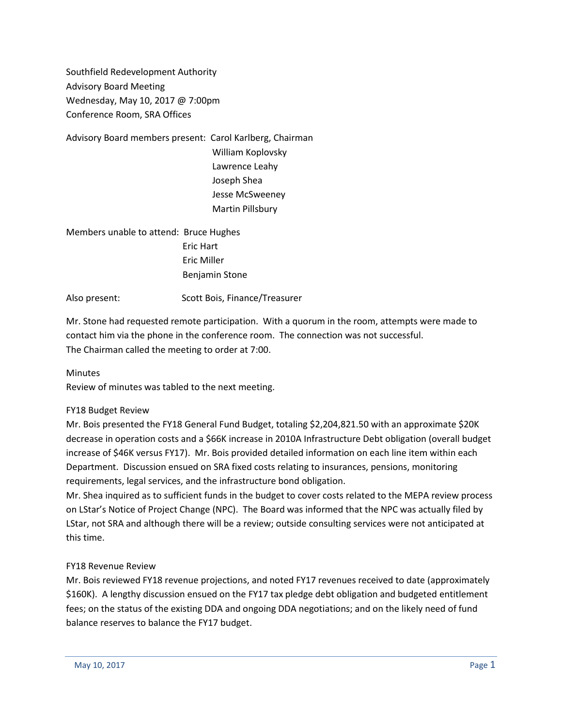Southfield Redevelopment Authority Advisory Board Meeting Wednesday, May 10, 2017 @ 7:00pm Conference Room, SRA Offices

Advisory Board members present: Carol Karlberg, Chairman William Koplovsky Lawrence Leahy

Joseph Shea Jesse McSweeney Martin Pillsbury

Members unable to attend: Bruce Hughes Eric Hart Eric Miller Benjamin Stone

Also present: Scott Bois, Finance/Treasurer

Mr. Stone had requested remote participation. With a quorum in the room, attempts were made to contact him via the phone in the conference room. The connection was not successful. The Chairman called the meeting to order at 7:00.

# Minutes

Review of minutes was tabled to the next meeting.

# FY18 Budget Review

Mr. Bois presented the FY18 General Fund Budget, totaling \$2,204,821.50 with an approximate \$20K decrease in operation costs and a \$66K increase in 2010A Infrastructure Debt obligation (overall budget increase of \$46K versus FY17). Mr. Bois provided detailed information on each line item within each Department. Discussion ensued on SRA fixed costs relating to insurances, pensions, monitoring requirements, legal services, and the infrastructure bond obligation.

Mr. Shea inquired as to sufficient funds in the budget to cover costs related to the MEPA review process on LStar's Notice of Project Change (NPC). The Board was informed that the NPC was actually filed by LStar, not SRA and although there will be a review; outside consulting services were not anticipated at this time.

# FY18 Revenue Review

Mr. Bois reviewed FY18 revenue projections, and noted FY17 revenues received to date (approximately \$160K). A lengthy discussion ensued on the FY17 tax pledge debt obligation and budgeted entitlement fees; on the status of the existing DDA and ongoing DDA negotiations; and on the likely need of fund balance reserves to balance the FY17 budget.